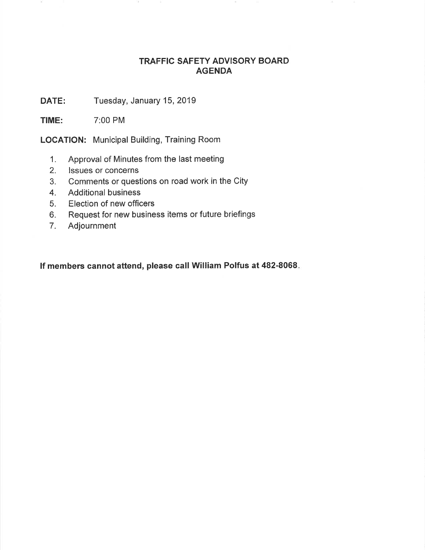## TRAFFIC SAFETY ADVISORY BOARD AGENDA

DATE: Tuesday, January 15, 2019

TIME: 7:00 PM

LOGATION: Municipal Building, Training Room

- 1. Approval of Minutes from the last meeting
- 2. lssues or concerns
- 3. Comments or questions on road work in the City
- 4. Additional business
- 5. Election of new officers
- 6. Request for new business items or future briefings
- 7. Adjournment

lf members cannot attend, please call William Polfus at 482-8068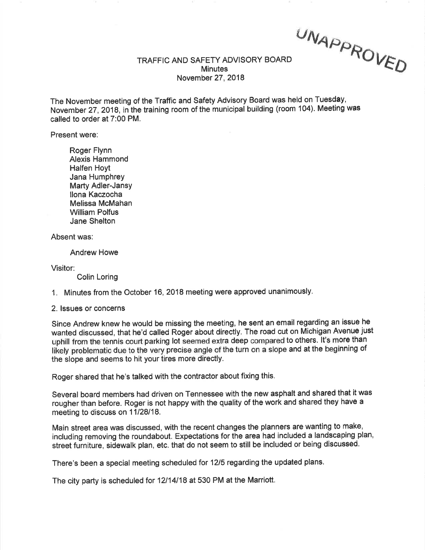$UN_{AD}$ VED

## TRAFFIC AND SAFETY ADVISORY BOARD **Minutes** November 27,2018

The November meeting of the Traffic and Safety Advisory Board was held on Tuesdây, November 27,2018, in the training room of the municipal building (room 104). Meeting was called to order at 7:00 PM.

Present were:

Roger Flynn Alexis Hammond Halfen Hoyt Jana Humphrey Marty Adler-Jansy llona Kaczocha Melissa McMahan William Polfus Jane Shelton

Absent was:

Andrew Howe

Visitor:

Colin Loring

1. Minutes from the October 16,2018 meeting were approved unanimously.

2. lssues or concerns

Since Andrew knew he would be missing the meeting, he sent an email regarding an issue he wanted discussed, that he'd called Roger about directly. The road cut on Michigan Avenue just uphill from the tennis court parking lot seemed extra deep compared to others. It's more than likely problematic due to the very þrecise angle of the turn on a slope and at the beginning of the slope and seems to hit your tires more directly.

Roger shared that he's talked with the contractor about fixing this.

Several board members had driven on Tennessee with the new asphalt and shared that it was rougher than before. Roger is not happy with the quality of the work and shared they have a meeting to discuss on 11/28/18.

Main street area was discussed, with the recent changes the planners are wanting to make, including removing the roundabout. Expectations for the area had included a landscaping plan, street furniture, siðewalk plan, etc. that do not seem to still be included or being dlscussed.

There's been a special meeting scheduled for 1215 regarding the updated plans.

The city party is scheduled for 12/14/18 at 530 PM at the Marriott.